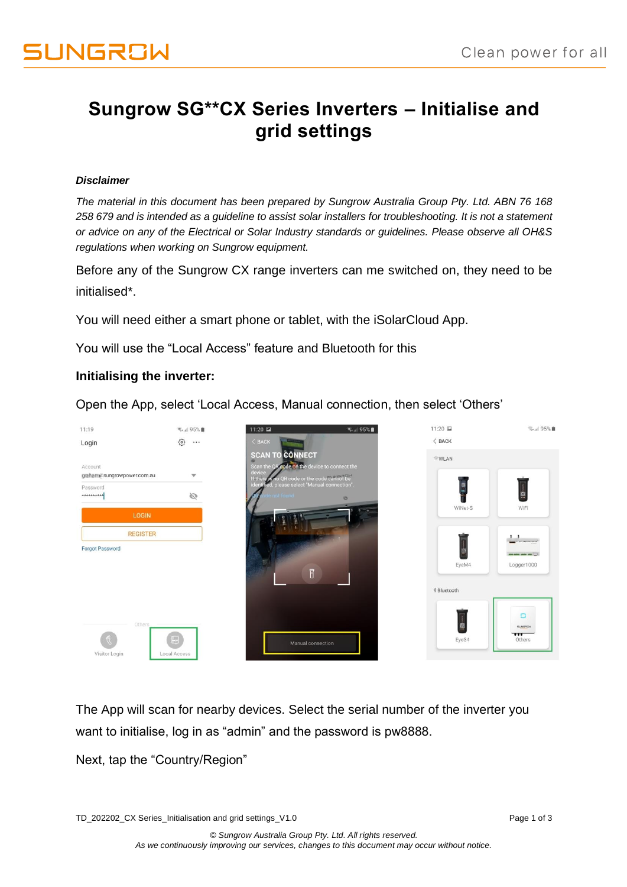### **Sungrow SG\*\*CX Series Inverters – Initialise and grid settings**

#### *Disclaimer*

*The material in this document has been prepared by Sungrow Australia Group Pty. Ltd. ABN 76 168 258 679 and is intended as a guideline to assist solar installers for troubleshooting. It is not a statement or advice on any of the Electrical or Solar Industry standards or guidelines. Please observe all OH&S regulations when working on Sungrow equipment.*

Before any of the Sungrow CX range inverters can me switched on, they need to be initialised\*.

You will need either a smart phone or tablet, with the iSolarCloud App.

You will use the "Local Access" feature and Bluetooth for this

### **Initialising the inverter:**

Open the App, select 'Local Access, Manual connection, then select 'Others'



The App will scan for nearby devices. Select the serial number of the inverter you want to initialise, log in as "admin" and the password is pw8888.

Next, tap the "Country/Region"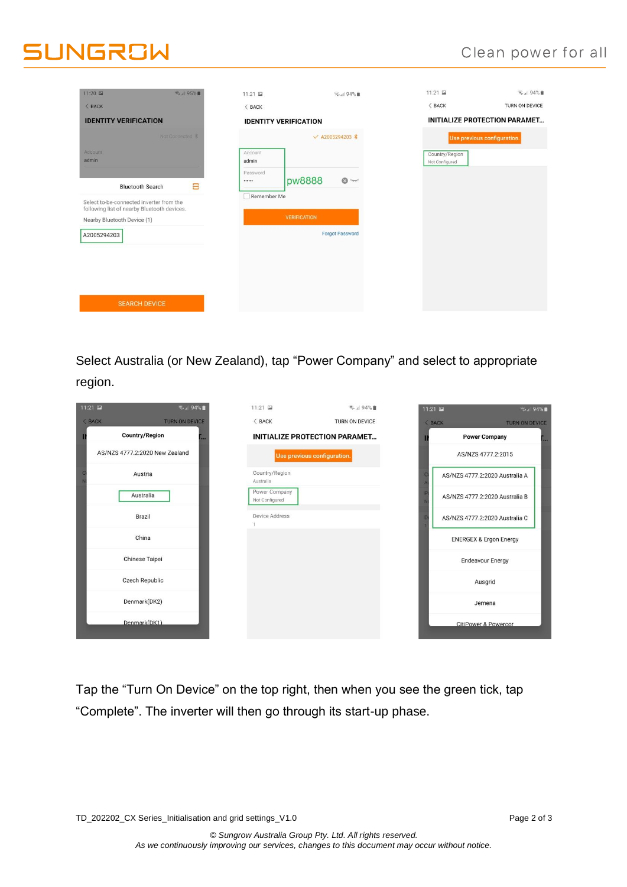## **SUNGROW**

| 11:20 国<br>气。195%■                                                                                                     | 11:21 国                     | <b>图</b> , 1 94%■            | 11:21 国                          | ₹.』 94%■                             |
|------------------------------------------------------------------------------------------------------------------------|-----------------------------|------------------------------|----------------------------------|--------------------------------------|
| $<$ BACK                                                                                                               | $\langle$ BACK              |                              | $<$ BACK                         | TURN ON DEVICE                       |
| <b>IDENTITY VERIFICATION</b>                                                                                           |                             | <b>IDENTITY VERIFICATION</b> |                                  | <b>INITIALIZE PROTECTION PARAMET</b> |
| Not Connected &                                                                                                        |                             | √ A2005294203 %              |                                  | Use previous configuration.          |
| Account<br>admin                                                                                                       | Account<br>admin            |                              | Country/Region<br>Not Configured |                                      |
| 吕<br><b>Bluetooth Search</b>                                                                                           | Password<br><br>Remember Me | pw8888<br>$\odot$ $\pi$      |                                  |                                      |
| Select to-be-connected inverter from the<br>following list of nearby Bluetooth devices.<br>Nearby Bluetooth Device (1) |                             | <b>VERIFICATION</b>          |                                  |                                      |
| A2005294203                                                                                                            |                             | <b>Forgot Password</b>       |                                  |                                      |
|                                                                                                                        |                             |                              |                                  |                                      |
|                                                                                                                        |                             |                              |                                  |                                      |
| <b>SEARCH DEVICE</b>                                                                                                   |                             |                              |                                  |                                      |

Select Australia (or New Zealand), tap "Power Company" and select to appropriate region.

| 11:21    | $\approx$ all 94%              | 11:21 国                         | 气, 1 94%■                            | 11:21 国 | $\frac{1}{2}$ <sub>1</sub> 94%    |
|----------|--------------------------------|---------------------------------|--------------------------------------|---------|-----------------------------------|
| $<$ BACK | <b>TURN ON DEVICE</b>          | $<$ BACK                        | TURN ON DEVICE                       | < BACK  | <b>TURN ON DEVICE</b>             |
|          | <b>Country/Region</b>          |                                 | <b>INITIALIZE PROTECTION PARAMET</b> |         | <b>Power Company</b>              |
|          | AS/NZS 4777.2:2020 New Zealand |                                 | Use previous configuration.          |         | AS/NZS 4777.2:2015                |
|          | Austria                        | Country/Region<br>Australia     |                                      |         | AS/NZS 4777.2:2020 Australia A    |
|          | Australia                      | Power Company<br>Not Configured |                                      |         | AS/NZS 4777.2:2020 Australia B    |
|          | Brazil                         | Device Address                  |                                      |         | AS/NZS 4777.2:2020 Australia C    |
|          | China                          |                                 |                                      |         | <b>ENERGEX &amp; Ergon Energy</b> |
|          | Chinese Taipei                 |                                 |                                      |         | <b>Endeavour Energy</b>           |
|          | <b>Czech Republic</b>          |                                 |                                      |         | Ausgrid                           |
|          | Denmark(DK2)                   |                                 |                                      |         | Jemena                            |
|          | Denmark(DK1)                   |                                 |                                      |         | <b>CitiPower &amp; Powercor</b>   |

Tap the "Turn On Device" on the top right, then when you see the green tick, tap "Complete". The inverter will then go through its start-up phase.

TD\_202202\_CX Series\_Initialisation and grid settings\_V1.0 Page 2 of 3